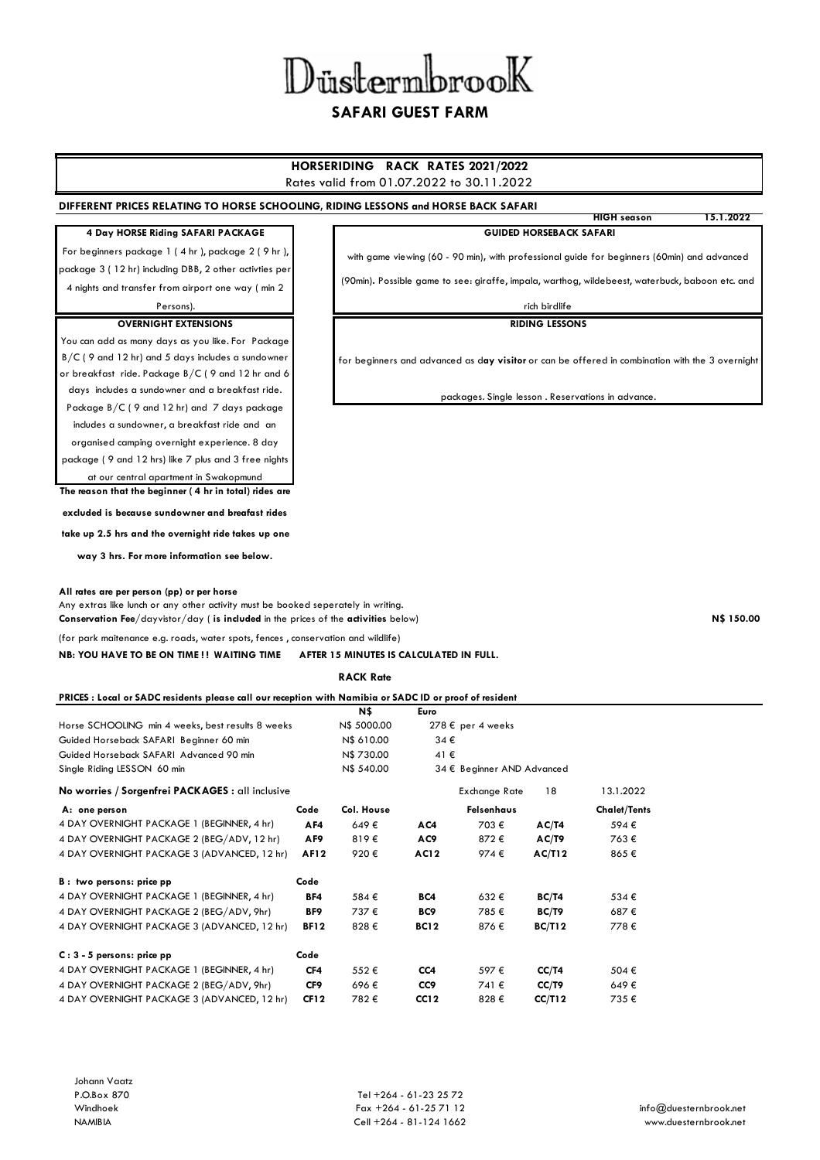| $D$ üstermbroo $K$       |
|--------------------------|
| <b>SAFARI GUEST FARM</b> |

## **HORSERIDING RACK RATES 2021/2022** Rates valid from 01.07.2022 to 30.11.2022

### **DIFFERENT PRICES RELATING TO HORSE SCHOOLING, RIDING LESSONS and HORSE BACK SAFARI**

## **4 Day HORSE Riding SAFARI PACKAGE**

For beginners package 1 ( 4 hr ), package 2 ( 9 hr ), package 3 ( 12 hr) including DBB, 2 other activties per

4 nights and transfer from airport one way ( min 2

### Persons). **OVERNIGHT EXTENSIONS**

You can add as many days as you like. For Package B/C ( 9 and 12 hr) and 5 days includes a sundowner or breakfast ride. Package B/C ( 9 and 12 hr and 6 days includes a sundowner and a breakfast ride. Package B/C ( 9 and 12 hr) and 7 days package includes a sundowner, a breakfast ride and an organised camping overnight experience. 8 day package ( 9 and 12 hrs) like 7 plus and 3 free nights at our central apartment in Swakopmund

**The reason that the beginner ( 4 hr in total) rides are** 

**excluded is because sundowner and breafast rides** 

**take up 2.5 hrs and the overnight ride takes up one** 

**way 3 hrs. For more information see below.** 

**All rates are per person (pp) or per horse**

Any extras like lunch or any other activity must be booked seperately in writing. **Conservation Fee**/dayvistor/day ( **is included** in the prices of the **activities** below)

(for park maitenance e.g. roads, water spots, fences , conservation and wildlife)

**NB: YOU HAVE TO BE ON TIME ! ! WAITING TIME AFTER 15 MINUTES IS CALCULATED IN FULL.** 

**RACK Rate**

| PRICES: Local or SADC residents please call our reception with Namibia or SADC ID or proof of resident |                 |                   |                 |                            |               |                     |
|--------------------------------------------------------------------------------------------------------|-----------------|-------------------|-----------------|----------------------------|---------------|---------------------|
|                                                                                                        |                 | N\$               | Euro            |                            |               |                     |
| Horse SCHOOLING min 4 weeks, best results 8 weeks                                                      |                 | N\$ 5000.00       |                 | $278 \epsilon$ per 4 weeks |               |                     |
| Guided Horseback SAFARI Beginner 60 min                                                                |                 | N\$ 610.00        | 34 €            |                            |               |                     |
| Guided Horseback SAFARI Advanced 90 min                                                                |                 | N\$ 730.00        | 41 €            |                            |               |                     |
| Single Riding LESSON 60 min                                                                            |                 | N\$ 540.00        |                 | 34 € Beginner AND Advanced |               |                     |
| No worries / Sorgenfrei PACKAGES : all inclusive                                                       |                 |                   |                 | <b>Exchange Rate</b>       | 18            | 13.1.2022           |
| A: one person                                                                                          | Code            | Col. House        |                 | Felsenhaus                 |               | <b>Chalet/Tents</b> |
| 4 DAY OVERNIGHT PACKAGE 1 (BEGINNER, 4 hr)                                                             | AF <sub>4</sub> | 649€              | AC4             | 703€                       | AC/T4         | 594€                |
| 4 DAY OVERNIGHT PACKAGE 2 (BEG/ADV, 12 hr)                                                             | AF9             | 819 $\varepsilon$ | AC9             | 872€                       | AC/T9         | 763€                |
| 4 DAY OVERNIGHT PACKAGE 3 (ADVANCED, 12 hr)                                                            | <b>AF12</b>     | 920€              | <b>AC12</b>     | 974€                       | AC/T12        | 865€                |
| B: two persons: price pp                                                                               | Code            |                   |                 |                            |               |                     |
| 4 DAY OVERNIGHT PACKAGE 1 (BEGINNER, 4 hr)                                                             | BF4             | 584€              | BC4             | 632€                       | BC/T4         | 534€                |
| 4 DAY OVERNIGHT PACKAGE 2 (BEG/ADV, 9hr)                                                               | BF9             | 737€              | BC9             | 785€                       | BC/T9         | 687€                |
| 4 DAY OVERNIGHT PACKAGE 3 (ADVANCED, 12 hr)                                                            | <b>BF12</b>     | 828€              | <b>BC12</b>     | 876€                       | <b>BC/T12</b> | 778€                |
| $C: 3 - 5$ persons: price pp                                                                           | Code            |                   |                 |                            |               |                     |
| 4 DAY OVERNIGHT PACKAGE 1 (BEGINNER, 4 hr)                                                             | CF4             | 552€              | CC <sub>4</sub> | 597€                       | CC/T4         | 504€                |
| 4 DAY OVERNIGHT PACKAGE 2 (BEG/ADV, 9hr)                                                               | CF9             | 696€              | CC9             | 741 €                      | CC/T9         | 649€                |
| 4 DAY OVERNIGHT PACKAGE 3 (ADVANCED, 12 hr)                                                            | <b>CF12</b>     | 782€              | <b>CC12</b>     | 828€                       | CC/T12        | 735€                |

info@duesternbrook.net www.duesternbrook.net

**N\$ 150.00**

with game viewing (60 - 90 min)**,** with professional guide for beginners (60min) and advanced

**HIGH season 15.1.2022**

(90min)**.** Possible game to see: giraffe, impala, warthog, wildebeest, waterbuck, baboon etc. and

 **GUIDED HORSEBACK SAFARI**

rich birdlife

**RIDING LESSONS**

for beginners and advanced as d**ay visitor** or can be offered in combination with the 3 overnight

packages. Single lesson . Reservations in advance.